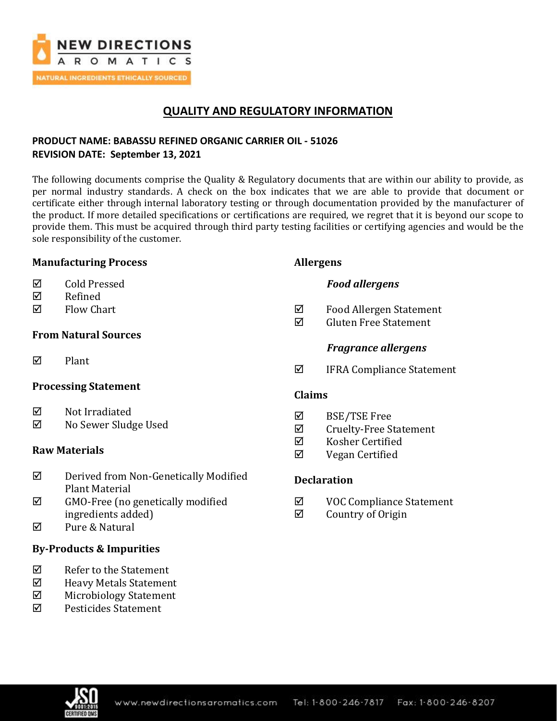

# **QUALITY AND REGULATORY INFORMATION**

## **PRODUCT NAME: BABASSU REFINED ORGANIC CARRIER OIL - 51026 REVISION DATE: September 13, 2021**

The following documents comprise the Quality & Regulatory documents that are within our ability to provide, as per normal industry standards. A check on the box indicates that we are able to provide that document or certificate either through internal laboratory testing or through documentation provided by the manufacturer of the product. If more detailed specifications or certifications are required, we regret that it is beyond our scope to provide them. This must be acquired through third party testing facilities or certifying agencies and would be the sole responsibility of the customer.

### **Manufacturing Process**

- Cold Pressed
- $\nabla$  Refined
- $\boxtimes$  Flow Chart

## **From Natural Sources**

 $\nabla$  Plant

### **Processing Statement**

- $\boxtimes$  Not Irradiated
- No Sewer Sludge Used

## **Raw Materials**

- $\nabla$  Derived from Non-Genetically Modified Plant Material
- $\boxtimes$  GMO-Free (no genetically modified ingredients added)
- $\boxtimes$  Pure & Natural

## **By-Products & Impurities**

- $\nabla$  Refer to the Statement
- Heavy Metals Statement
- $\boxtimes$  Microbiology Statement
- Pesticides Statement

## **Allergens**

## *Food allergens*

- Food Allergen Statement
- $\boxtimes$  Gluten Free Statement

## *Fragrance allergens*

 $\Phi$  IFRA Compliance Statement

## **Claims**

- BSE/TSE Free
- $\boxtimes$  Cruelty-Free Statement
- $\boxtimes$  Kosher Certified
- $\nabla$  Vegan Certified

## **Declaration**

- VOC Compliance Statement
- $\boxtimes$  Country of Origin

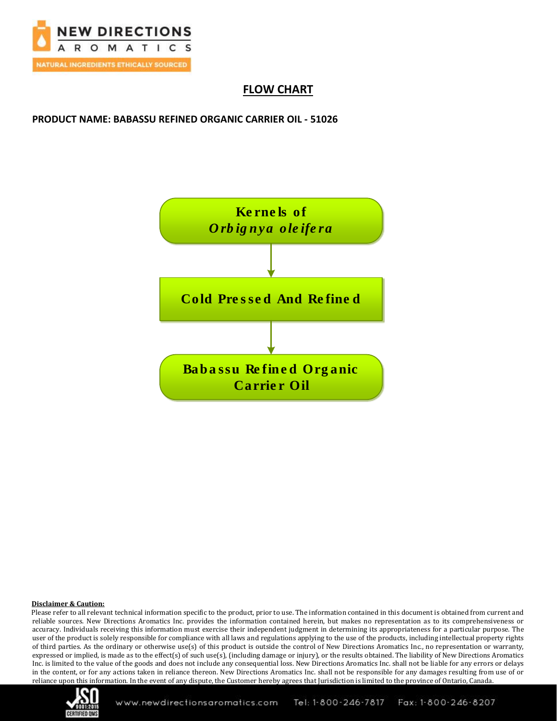

# **FLOW CHART**

**PRODUCT NAME: BABASSU REFINED ORGANIC CARRIER OIL - 51026**



### **Disclaimer & Caution:**

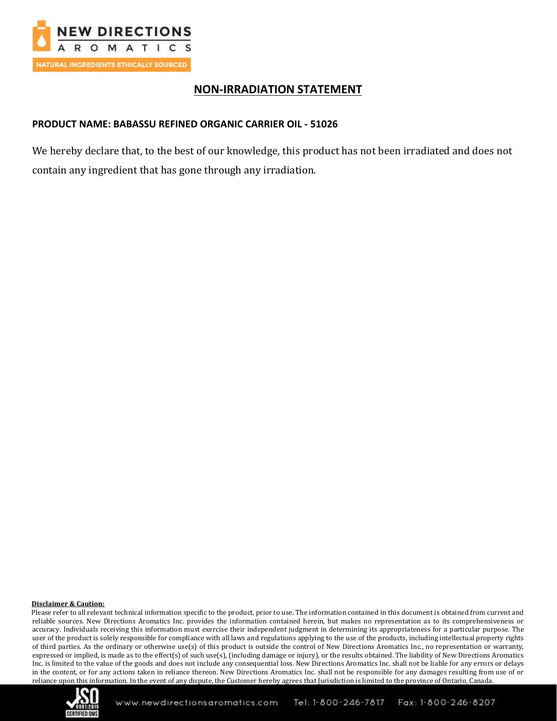

## **NON-IRRADIATION STATEMENT**

### **PRODUCT NAME: BABASSU REFINED ORGANIC CARRIER OIL - 51026**

We hereby declare that, to the best of our knowledge, this product has not been irradiated and does not contain any ingredient that has gone through any irradiation.

### **Disclaimer & Caution:**

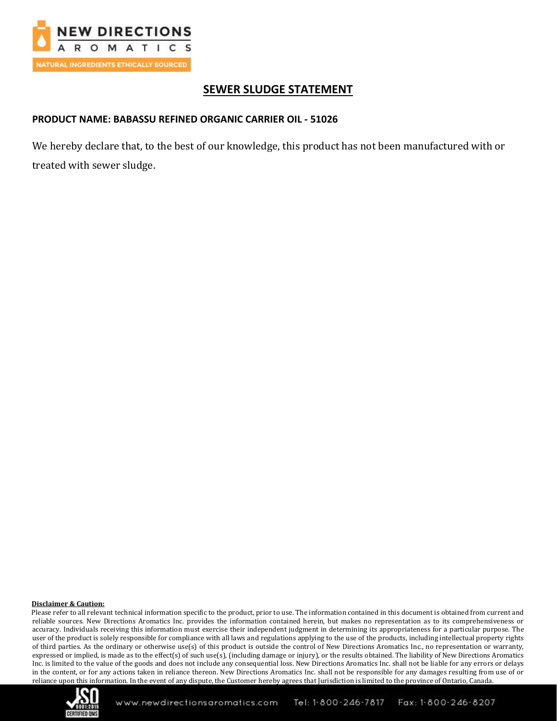

# **SEWER SLUDGE STATEMENT**

## **PRODUCT NAME: BABASSU REFINED ORGANIC CARRIER OIL - 51026**

We hereby declare that, to the best of our knowledge, this product has not been manufactured with or treated with sewer sludge.

### **Disclaimer & Caution:**

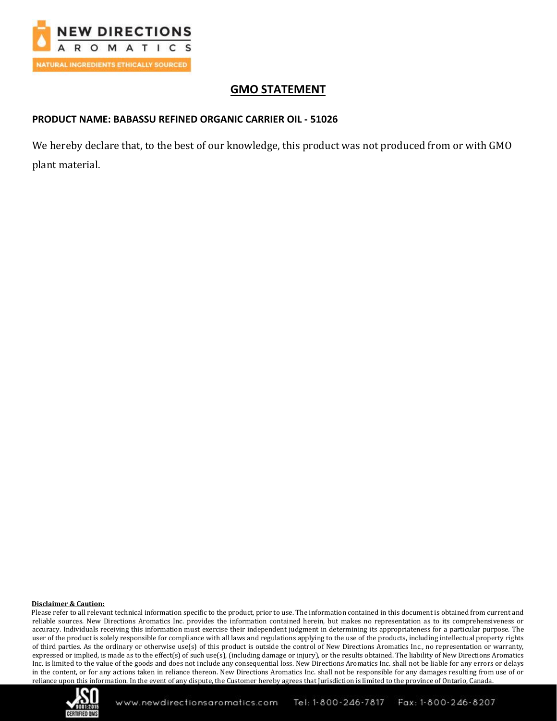

# **GMO STATEMENT**

## **PRODUCT NAME: BABASSU REFINED ORGANIC CARRIER OIL - 51026**

We hereby declare that, to the best of our knowledge, this product was not produced from or with GMO plant material.

### **Disclaimer & Caution:**

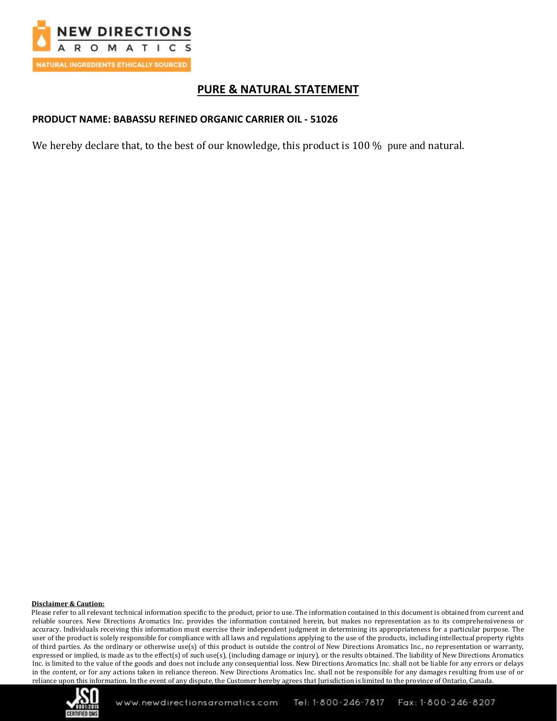

## **PURE & NATURAL STATEMENT**

## **PRODUCT NAME: BABASSU REFINED ORGANIC CARRIER OIL - 51026**

We hereby declare that, to the best of our knowledge, this product is 100 % pure and natural.

#### **Disclaimer & Caution:**

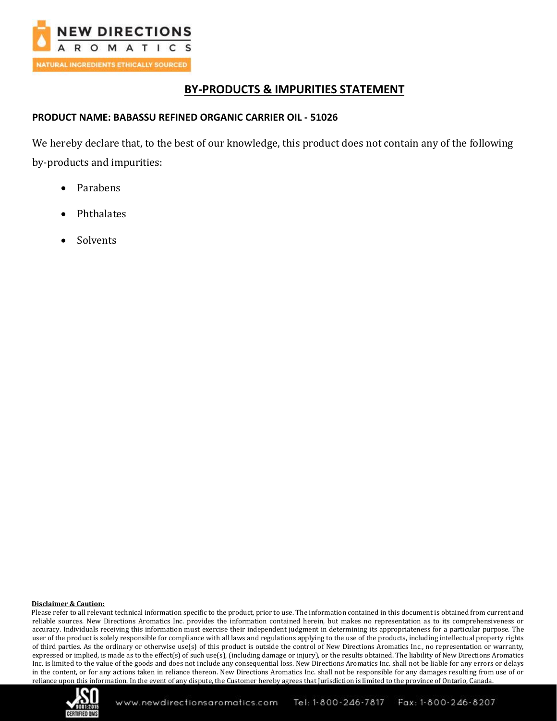

## **BY-PRODUCTS & IMPURITIES STATEMENT**

### **PRODUCT NAME: BABASSU REFINED ORGANIC CARRIER OIL - 51026**

We hereby declare that, to the best of our knowledge, this product does not contain any of the following by-products and impurities:

- Parabens
- Phthalates
- **Solvents**

### **Disclaimer & Caution:**

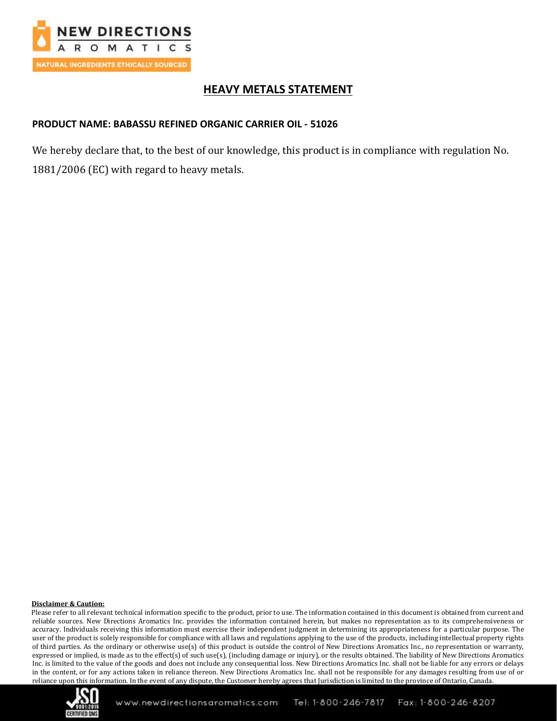

# **HEAVY METALS STATEMENT**

### **PRODUCT NAME: BABASSU REFINED ORGANIC CARRIER OIL - 51026**

We hereby declare that, to the best of our knowledge, this product is in compliance with regulation No. 1881/2006 (EC) with regard to heavy metals.

### **Disclaimer & Caution:**

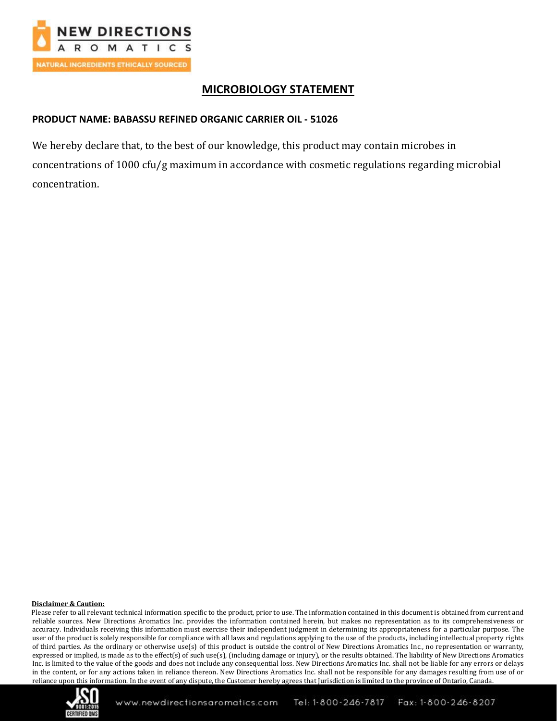

# **MICROBIOLOGY STATEMENT**

## **PRODUCT NAME: BABASSU REFINED ORGANIC CARRIER OIL - 51026**

We hereby declare that, to the best of our knowledge, this product may contain microbes in concentrations of 1000 cfu/g maximum in accordance with cosmetic regulations regarding microbial concentration.

### **Disclaimer & Caution:**

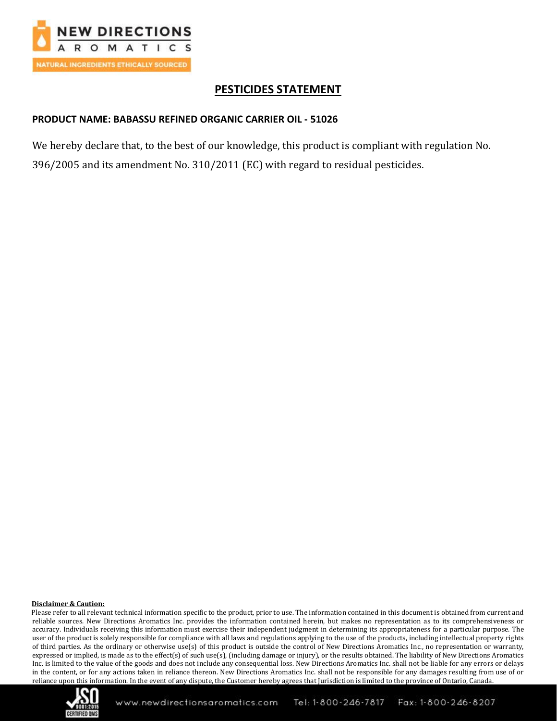

## **PESTICIDES STATEMENT**

## **PRODUCT NAME: BABASSU REFINED ORGANIC CARRIER OIL - 51026**

We hereby declare that, to the best of our knowledge, this product is compliant with regulation No. 396/2005 and its amendment No. 310/2011 (EC) with regard to residual pesticides.

### **Disclaimer & Caution:**

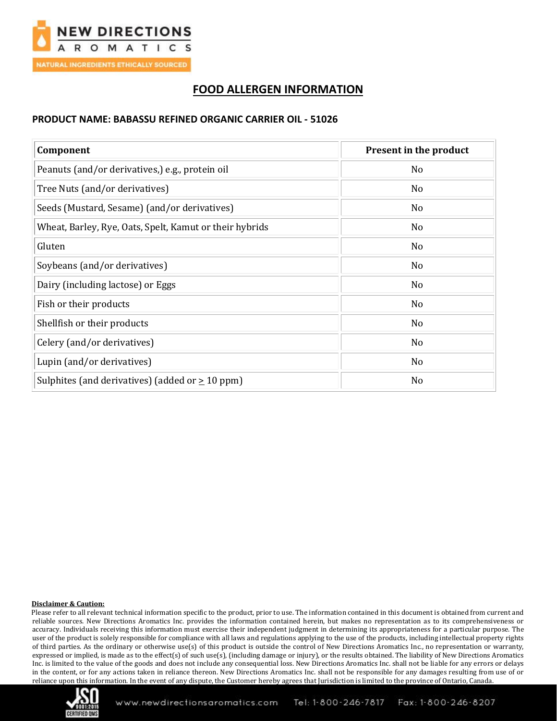

# **FOOD ALLERGEN INFORMATION**

### **PRODUCT NAME: BABASSU REFINED ORGANIC CARRIER OIL - 51026**

| Component                                               | Present in the product |
|---------------------------------------------------------|------------------------|
| Peanuts (and/or derivatives,) e.g., protein oil         | No                     |
| Tree Nuts (and/or derivatives)                          | N <sub>o</sub>         |
| Seeds (Mustard, Sesame) (and/or derivatives)            | N <sub>0</sub>         |
| Wheat, Barley, Rye, Oats, Spelt, Kamut or their hybrids | N <sub>0</sub>         |
| Gluten                                                  | N <sub>o</sub>         |
| Soybeans (and/or derivatives)                           | No                     |
| Dairy (including lactose) or Eggs                       | No                     |
| Fish or their products                                  | No                     |
| Shellfish or their products                             | N <sub>o</sub>         |
| Celery (and/or derivatives)                             | No                     |
| Lupin (and/or derivatives)                              | No                     |
| Sulphites (and derivatives) (added or $\geq 10$ ppm)    | No                     |

### **Disclaimer & Caution:**

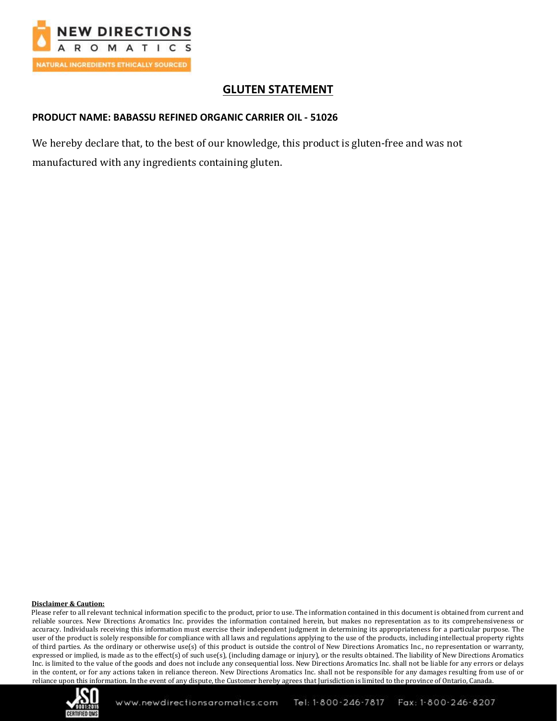

## **GLUTEN STATEMENT**

### **PRODUCT NAME: BABASSU REFINED ORGANIC CARRIER OIL - 51026**

We hereby declare that, to the best of our knowledge, this product is gluten-free and was not manufactured with any ingredients containing gluten.

### **Disclaimer & Caution:**

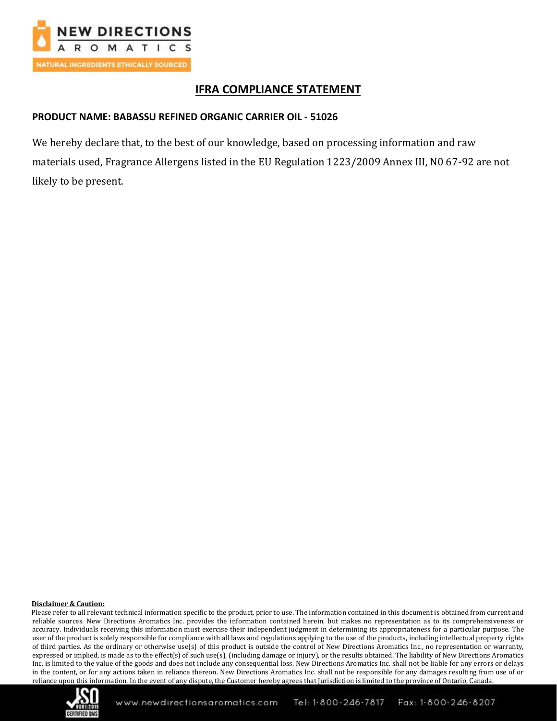

## **IFRA COMPLIANCE STATEMENT**

## **PRODUCT NAME: BABASSU REFINED ORGANIC CARRIER OIL - 51026**

We hereby declare that, to the best of our knowledge, based on processing information and raw materials used, Fragrance Allergens listed in the EU Regulation 1223/2009 Annex III, N0 67-92 are not likely to be present.

### **Disclaimer & Caution:**

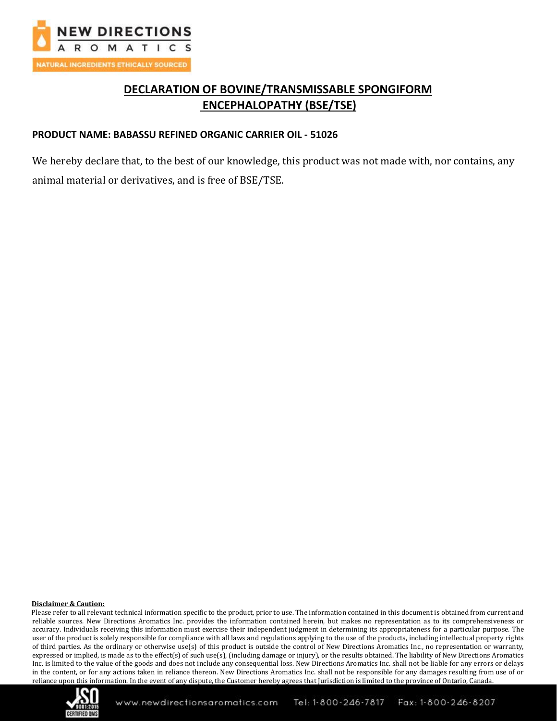

# **DECLARATION OF BOVINE/TRANSMISSABLE SPONGIFORM ENCEPHALOPATHY (BSE/TSE)**

### **PRODUCT NAME: BABASSU REFINED ORGANIC CARRIER OIL - 51026**

We hereby declare that, to the best of our knowledge, this product was not made with, nor contains, any animal material or derivatives, and is free of BSE/TSE.

#### **Disclaimer & Caution:**

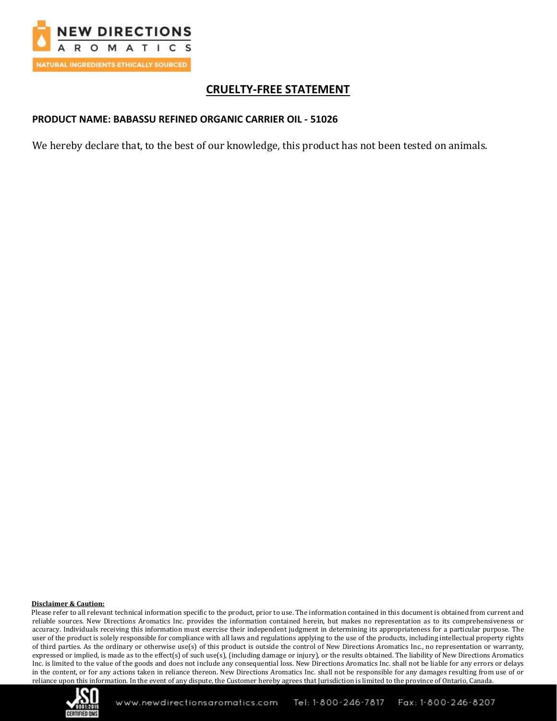

# **CRUELTY-FREE STATEMENT**

## **PRODUCT NAME: BABASSU REFINED ORGANIC CARRIER OIL - 51026**

We hereby declare that, to the best of our knowledge, this product has not been tested on animals.

### **Disclaimer & Caution:**

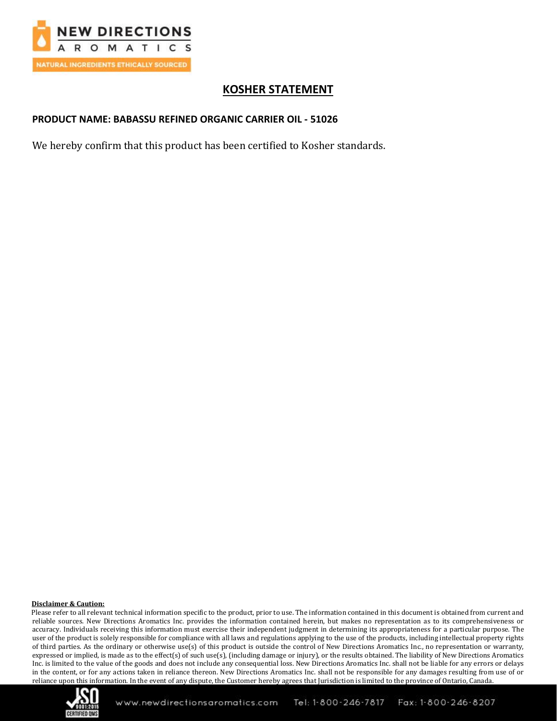

# **KOSHER STATEMENT**

## **PRODUCT NAME: BABASSU REFINED ORGANIC CARRIER OIL - 51026**

We hereby confirm that this product has been certified to Kosher standards.

#### **Disclaimer & Caution:**

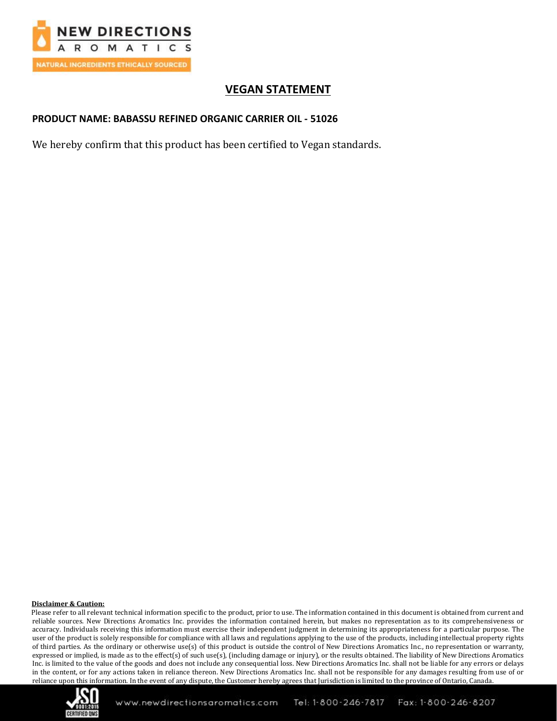

# **VEGAN STATEMENT**

### **PRODUCT NAME: BABASSU REFINED ORGANIC CARRIER OIL - 51026**

We hereby confirm that this product has been certified to Vegan standards.

#### **Disclaimer & Caution:**

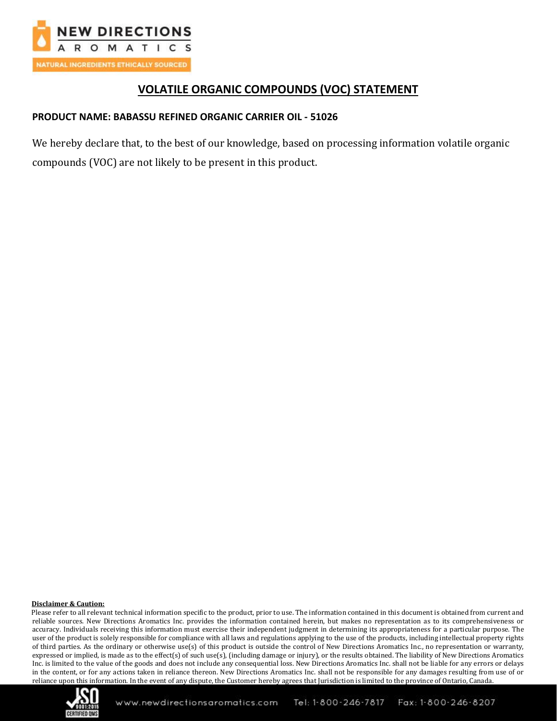

# **VOLATILE ORGANIC COMPOUNDS (VOC) STATEMENT**

## **PRODUCT NAME: BABASSU REFINED ORGANIC CARRIER OIL - 51026**

We hereby declare that, to the best of our knowledge, based on processing information volatile organic compounds (VOC) are not likely to be present in this product.

### **Disclaimer & Caution:**